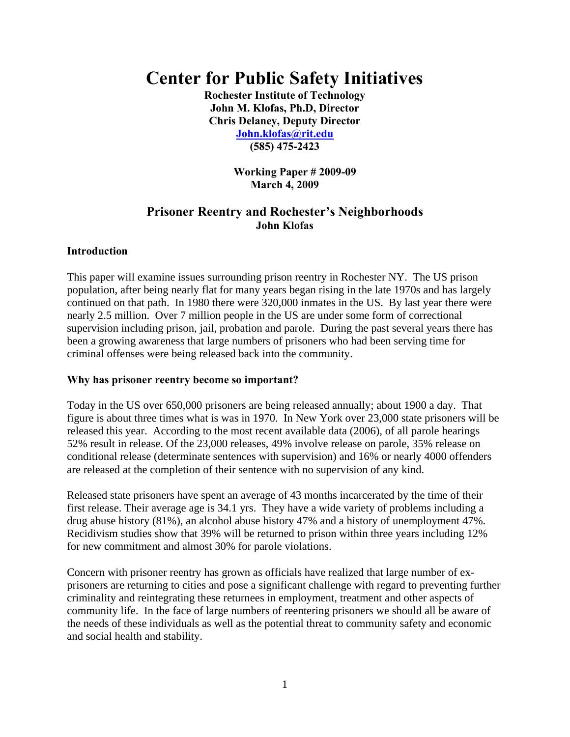# **Center for Public Safety Initiatives**

**Rochester Institute of Technology John M. Klofas, Ph.D, Director Chris Delaney, Deputy Director John.klofas@rit.edu (585) 475-2423** 

> **Working Paper # 2009-09 March 4, 2009**

# **Prisoner Reentry and Rochester's Neighborhoods John Klofas**

# **Introduction**

This paper will examine issues surrounding prison reentry in Rochester NY. The US prison population, after being nearly flat for many years began rising in the late 1970s and has largely continued on that path. In 1980 there were 320,000 inmates in the US. By last year there were nearly 2.5 million. Over 7 million people in the US are under some form of correctional supervision including prison, jail, probation and parole. During the past several years there has been a growing awareness that large numbers of prisoners who had been serving time for criminal offenses were being released back into the community.

#### **Why has prisoner reentry become so important?**

Today in the US over 650,000 prisoners are being released annually; about 1900 a day. That figure is about three times what is was in 1970. In New York over 23,000 state prisoners will be released this year. According to the most recent available data (2006), of all parole hearings 52% result in release. Of the 23,000 releases, 49% involve release on parole, 35% release on conditional release (determinate sentences with supervision) and 16% or nearly 4000 offenders are released at the completion of their sentence with no supervision of any kind.

Released state prisoners have spent an average of 43 months incarcerated by the time of their first release. Their average age is 34.1 yrs. They have a wide variety of problems including a drug abuse history (81%), an alcohol abuse history 47% and a history of unemployment 47%. Recidivism studies show that 39% will be returned to prison within three years including 12% for new commitment and almost 30% for parole violations.

Concern with prisoner reentry has grown as officials have realized that large number of exprisoners are returning to cities and pose a significant challenge with regard to preventing further criminality and reintegrating these returnees in employment, treatment and other aspects of community life. In the face of large numbers of reentering prisoners we should all be aware of the needs of these individuals as well as the potential threat to community safety and economic and social health and stability.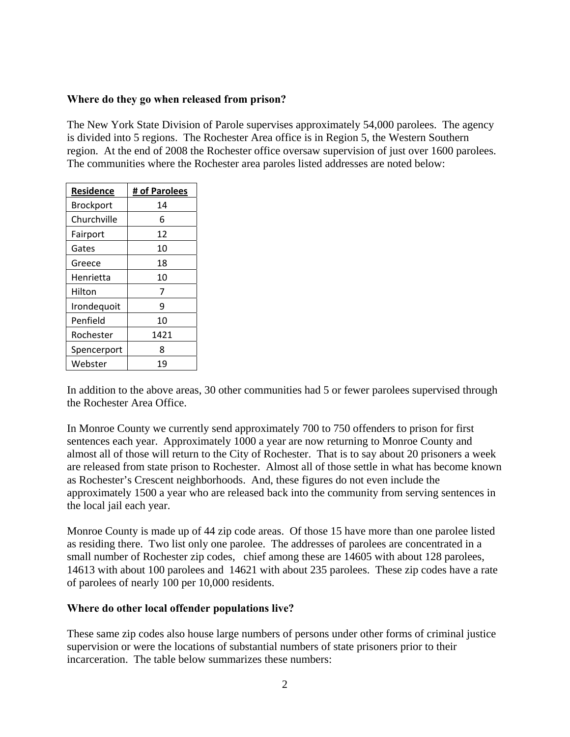# **Where do they go when released from prison?**

The New York State Division of Parole supervises approximately 54,000 parolees. The agency is divided into 5 regions. The Rochester Area office is in Region 5, the Western Southern region. At the end of 2008 the Rochester office oversaw supervision of just over 1600 parolees. The communities where the Rochester area paroles listed addresses are noted below:

| Residence   | # of Parolees |  |  |
|-------------|---------------|--|--|
| Brockport   | 14            |  |  |
| Churchville | 6             |  |  |
| Fairport    | 12            |  |  |
| Gates       | 10            |  |  |
| Greece      | 18            |  |  |
| Henrietta   | 10            |  |  |
| Hilton      | 7             |  |  |
| Irondequoit | ٩             |  |  |
| Penfield    | 10            |  |  |
| Rochester   | 1421          |  |  |
| Spencerport | ጸ             |  |  |
| Webster     | 19            |  |  |

In addition to the above areas, 30 other communities had 5 or fewer parolees supervised through the Rochester Area Office.

In Monroe County we currently send approximately 700 to 750 offenders to prison for first sentences each year. Approximately 1000 a year are now returning to Monroe County and almost all of those will return to the City of Rochester. That is to say about 20 prisoners a week are released from state prison to Rochester. Almost all of those settle in what has become known as Rochester's Crescent neighborhoods. And, these figures do not even include the approximately 1500 a year who are released back into the community from serving sentences in the local jail each year.

Monroe County is made up of 44 zip code areas. Of those 15 have more than one parolee listed as residing there. Two list only one parolee. The addresses of parolees are concentrated in a small number of Rochester zip codes, chief among these are 14605 with about 128 parolees, 14613 with about 100 parolees and 14621 with about 235 parolees. These zip codes have a rate of parolees of nearly 100 per 10,000 residents.

#### **Where do other local offender populations live?**

These same zip codes also house large numbers of persons under other forms of criminal justice supervision or were the locations of substantial numbers of state prisoners prior to their incarceration. The table below summarizes these numbers: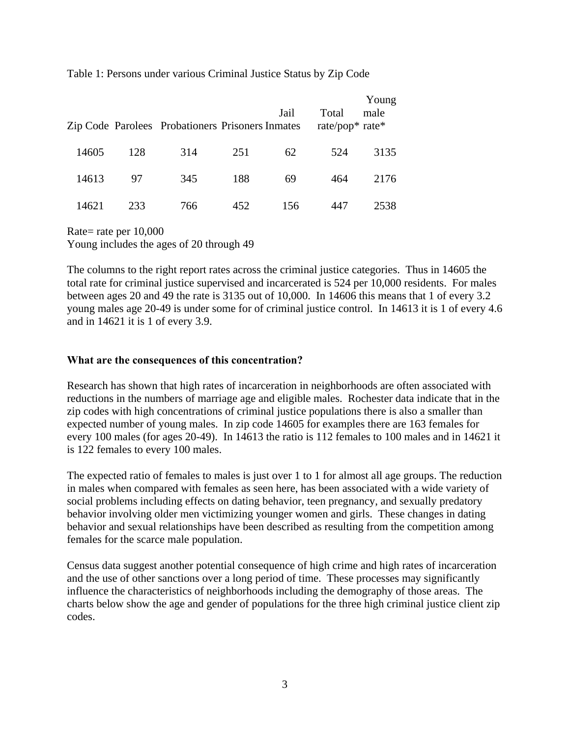Table 1: Persons under various Criminal Justice Status by Zip Code

|       |     | Zip Code Parolees Probationers Prisoners Inmates |     | Jail | Total<br>rate/pop* rate* | Young<br>male |
|-------|-----|--------------------------------------------------|-----|------|--------------------------|---------------|
| 14605 | 128 | 314                                              | 251 | 62   | 524                      | 3135          |
| 14613 | 97  | 345                                              | 188 | 69   | 464                      | 2176          |
| 14621 | 233 | 766                                              | 452 | 156  | 447                      | 2538          |

Rate= rate per 10,000 Young includes the ages of 20 through 49

The columns to the right report rates across the criminal justice categories. Thus in 14605 the total rate for criminal justice supervised and incarcerated is 524 per 10,000 residents. For males between ages 20 and 49 the rate is 3135 out of 10,000. In 14606 this means that 1 of every 3.2 young males age 20-49 is under some for of criminal justice control. In 14613 it is 1 of every 4.6 and in 14621 it is 1 of every 3.9.

#### **What are the consequences of this concentration?**

Research has shown that high rates of incarceration in neighborhoods are often associated with reductions in the numbers of marriage age and eligible males. Rochester data indicate that in the zip codes with high concentrations of criminal justice populations there is also a smaller than expected number of young males. In zip code 14605 for examples there are 163 females for every 100 males (for ages 20-49). In 14613 the ratio is 112 females to 100 males and in 14621 it is 122 females to every 100 males.

The expected ratio of females to males is just over 1 to 1 for almost all age groups. The reduction in males when compared with females as seen here, has been associated with a wide variety of social problems including effects on dating behavior, teen pregnancy, and sexually predatory behavior involving older men victimizing younger women and girls. These changes in dating behavior and sexual relationships have been described as resulting from the competition among females for the scarce male population.

Census data suggest another potential consequence of high crime and high rates of incarceration and the use of other sanctions over a long period of time. These processes may significantly influence the characteristics of neighborhoods including the demography of those areas. The charts below show the age and gender of populations for the three high criminal justice client zip codes.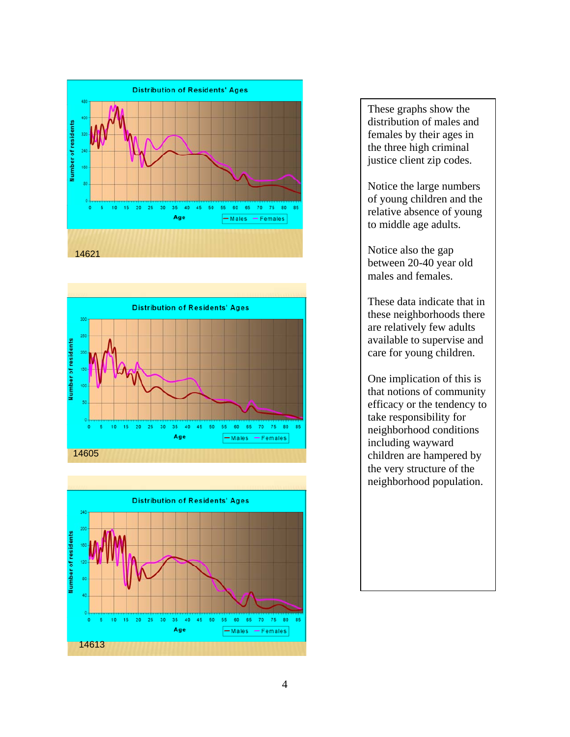





These graphs show the distribution of males and females by their ages in the three high criminal justice client zip codes.

Notice the large numbers of young children and the relative absence of young to middle age adults.

Notice also the gap between 20-40 year old males and females.

These data indicate that in these neighborhoods there are relatively few adults available to supervise and care for young children.

One implication of this is that notions of community efficacy or the tendency to take responsibility for neighborhood conditions including wayward children are hampered by the very structure of the neighborhood population.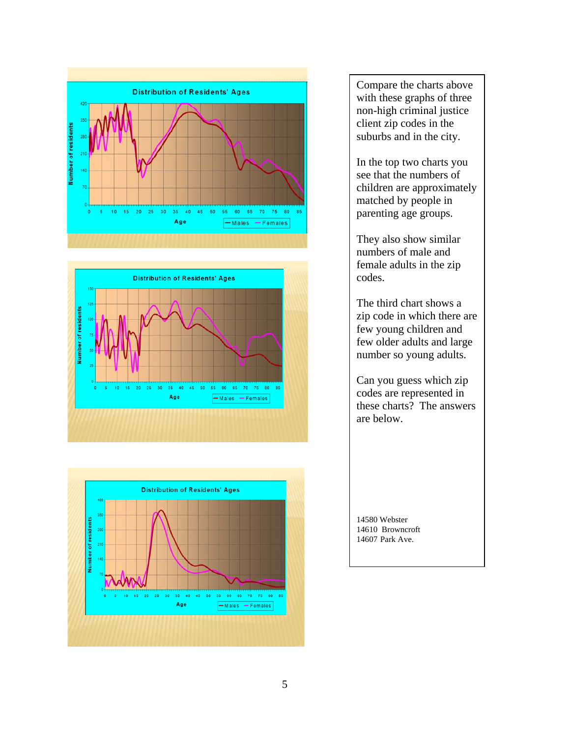





Compare the charts above with these graphs of three non-high criminal justice client zip codes in the suburbs and in the city.

In the top two charts you see that the numbers of children are approximately matched by people in parenting age groups.

They also show similar numbers of male and female adults in the zip codes.

The third chart shows a zip code in which there are few young children and few older adults and large number so young adults.

Can you guess which zip codes are represented in these charts? The answers are below.

14580 Webster 14610 Browncroft 14607 Park Ave.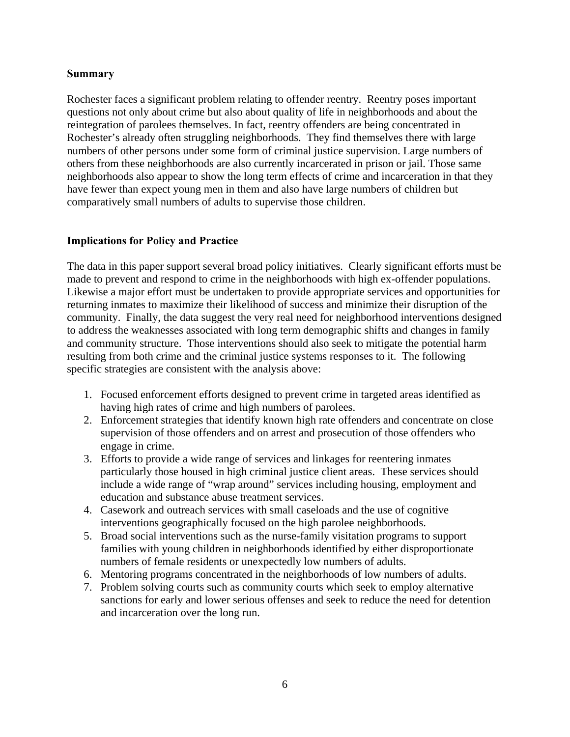#### **Summary**

Rochester faces a significant problem relating to offender reentry. Reentry poses important questions not only about crime but also about quality of life in neighborhoods and about the reintegration of parolees themselves. In fact, reentry offenders are being concentrated in Rochester's already often struggling neighborhoods. They find themselves there with large numbers of other persons under some form of criminal justice supervision. Large numbers of others from these neighborhoods are also currently incarcerated in prison or jail. Those same neighborhoods also appear to show the long term effects of crime and incarceration in that they have fewer than expect young men in them and also have large numbers of children but comparatively small numbers of adults to supervise those children.

# **Implications for Policy and Practice**

The data in this paper support several broad policy initiatives. Clearly significant efforts must be made to prevent and respond to crime in the neighborhoods with high ex-offender populations. Likewise a major effort must be undertaken to provide appropriate services and opportunities for returning inmates to maximize their likelihood of success and minimize their disruption of the community. Finally, the data suggest the very real need for neighborhood interventions designed to address the weaknesses associated with long term demographic shifts and changes in family and community structure. Those interventions should also seek to mitigate the potential harm resulting from both crime and the criminal justice systems responses to it. The following specific strategies are consistent with the analysis above:

- 1. Focused enforcement efforts designed to prevent crime in targeted areas identified as having high rates of crime and high numbers of parolees.
- 2. Enforcement strategies that identify known high rate offenders and concentrate on close supervision of those offenders and on arrest and prosecution of those offenders who engage in crime.
- 3. Efforts to provide a wide range of services and linkages for reentering inmates particularly those housed in high criminal justice client areas. These services should include a wide range of "wrap around" services including housing, employment and education and substance abuse treatment services.
- 4. Casework and outreach services with small caseloads and the use of cognitive interventions geographically focused on the high parolee neighborhoods.
- 5. Broad social interventions such as the nurse-family visitation programs to support families with young children in neighborhoods identified by either disproportionate numbers of female residents or unexpectedly low numbers of adults.
- 6. Mentoring programs concentrated in the neighborhoods of low numbers of adults.
- 7. Problem solving courts such as community courts which seek to employ alternative sanctions for early and lower serious offenses and seek to reduce the need for detention and incarceration over the long run.